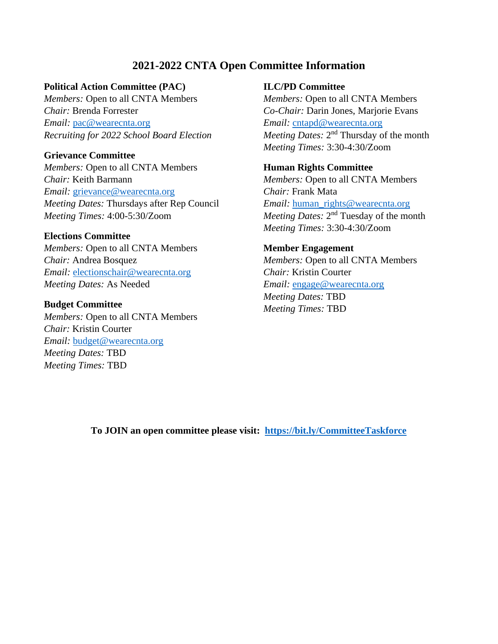# **2021-2022 CNTA Open Committee Information**

## **Political Action Committee (PAC)**

*Members:* Open to all CNTA Members *Chair:* Brenda Forrester *Email:* [pac@wearecnta.org](mailto:pac@wearecnta.org) *Recruiting for 2022 School Board Election*

## **Grievance Committee**

*Members:* Open to all CNTA Members *Chair:* Keith Barmann *Email:* [grievance@wearecnta.org](mailto:grievance@wearecnta.org) *Meeting Dates:* Thursdays after Rep Council *Meeting Times:* 4:00-5:30/Zoom

#### **Elections Committee**

*Members:* Open to all CNTA Members *Chair:* Andrea Bosquez *Email:* [electionschair@wearecnta.org](mailto:electionschair@wearecnta.org) *Meeting Dates:* As Needed

#### **Budget Committee**

*Members:* Open to all CNTA Members *Chair:* Kristin Courter *Email:* [budget@wearecnta.org](mailto:budget@wearecnta.org)  *Meeting Dates:* TBD *Meeting Times:* TBD

#### **ILC/PD Committee**

*Members:* Open to all CNTA Members *Co-Chair:* Darin Jones, Marjorie Evans *Email:* [cntapd@wearecnta.org](mailto:cntapd@wearecnta.org) Meeting Dates: 2<sup>nd</sup> Thursday of the month *Meeting Times:* 3:30-4:30/Zoom

# **Human Rights Committee**

*Members:* Open to all CNTA Members *Chair:* Frank Mata *Email:* human rights@wearecnta.org Meeting Dates: 2<sup>nd</sup> Tuesday of the month *Meeting Times:* 3:30-4:30/Zoom

# **Member Engagement**

*Members:* Open to all CNTA Members *Chair:* Kristin Courter *Email:* [engage@wearecnta.org](mailto:engage@wearecnta.org) *Meeting Dates:* TBD *Meeting Times:* TBD

**To JOIN an open committee please visit: <https://bit.ly/CommitteeTaskforce>**